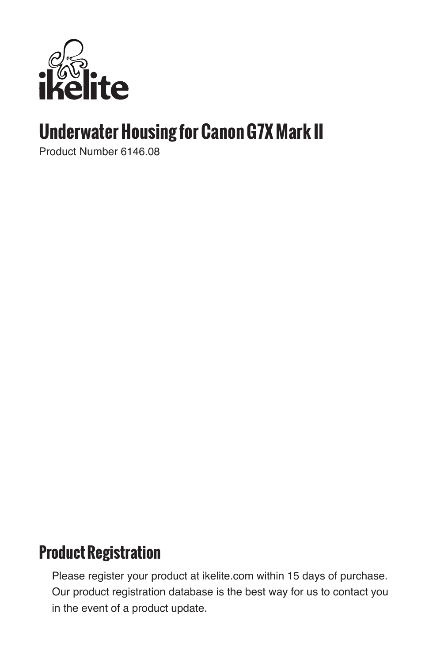

# **Underwater Housing for Canon G7X Mark II**

Product Number 6146.08

### **Product Registration**

Please register your product at ikelite.com within 15 days of purchase. Our product registration database is the best way for us to contact you in the event of a product update.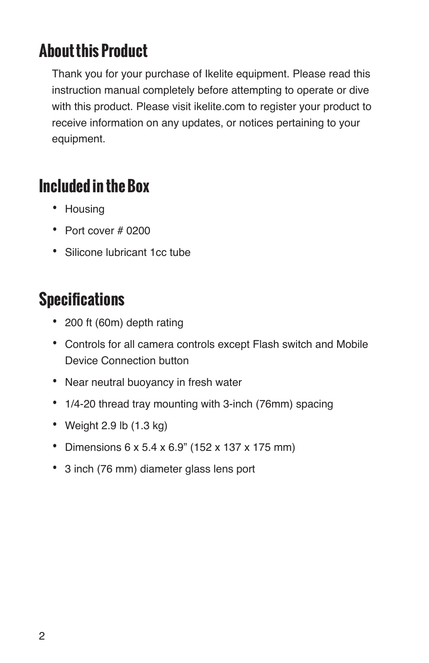## **About this Product**

Thank you for your purchase of Ikelite equipment. Please read this instruction manual completely before attempting to operate or dive with this product. Please visit ikelite.com to register your product to receive information on any updates, or notices pertaining to your equipment.

## **Included in the Box**

- Housing
- Port cover # 0200
- Silicone lubricant 1cc tube

# **Specifications**

- 200 ft (60m) depth rating
- Controls for all camera controls except Flash switch and Mobile Device Connection button
- Near neutral buoyancy in fresh water
- 1/4-20 thread tray mounting with 3-inch (76mm) spacing
- Weight 2.9 lb  $(1.3 \text{ kg})$
- Dimensions 6 x 5.4 x 6.9" (152 x 137 x 175 mm)
- 3 inch (76 mm) diameter glass lens port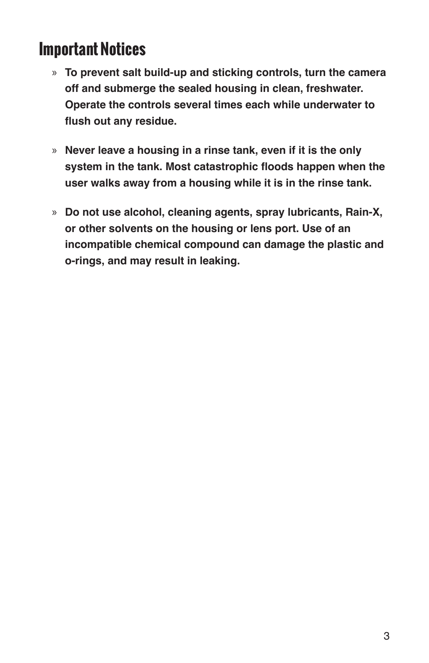## **Important Notices**

- » **To prevent salt build-up and sticking controls, turn the camera off and submerge the sealed housing in clean, freshwater. Operate the controls several times each while underwater to flush out any residue.**
- » **Never leave a housing in a rinse tank, even if it is the only system in the tank. Most catastrophic floods happen when the user walks away from a housing while it is in the rinse tank.**
- » **Do not use alcohol, cleaning agents, spray lubricants, Rain-X, or other solvents on the housing or lens port. Use of an incompatible chemical compound can damage the plastic and o-rings, and may result in leaking.**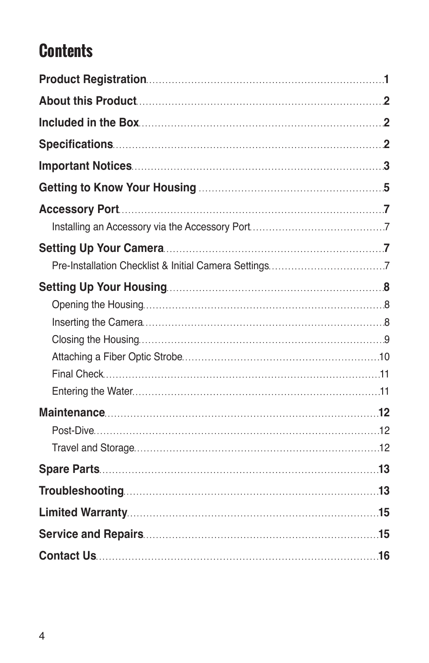# **Contents**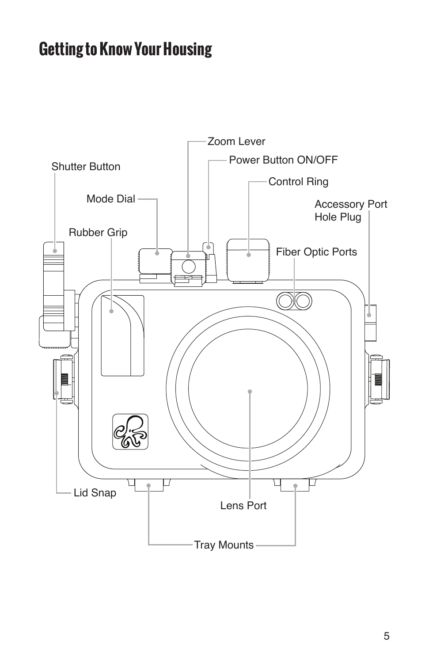# **Getting to Know Your Housing**

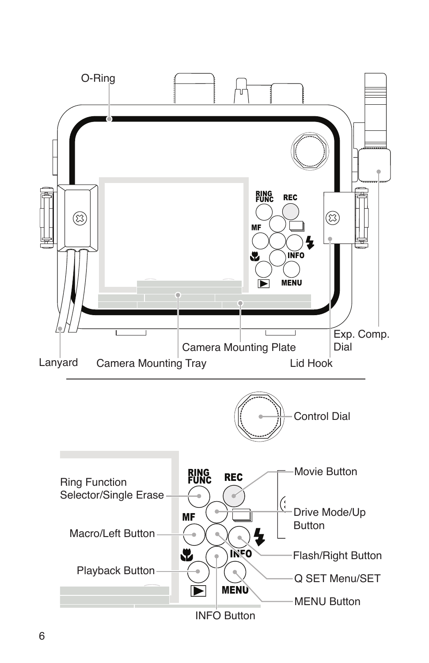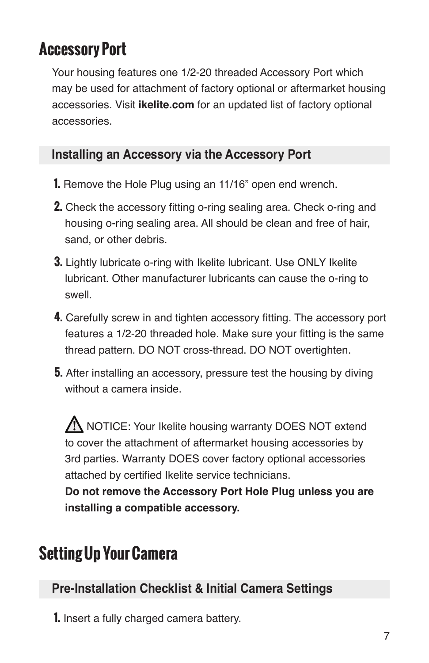## **Accessory Port**

Your housing features one 1/2-20 threaded Accessory Port which may be used for attachment of factory optional or aftermarket housing accessories. Visit **ikelite.com** for an updated list of factory optional accessories.

### **Installing an Accessory via the Accessory Port**

- **1.** Remove the Hole Plug using an 11/16" open end wrench.
- **2.** Check the accessory fitting o-ring sealing area. Check o-ring and housing o-ring sealing area. All should be clean and free of hair, sand, or other debris.
- **3.** Lightly lubricate o-ring with Ikelite lubricant. Use ONLY Ikelite lubricant. Other manufacturer lubricants can cause the o-ring to swell.
- **4.** Carefully screw in and tighten accessory fitting. The accessory port features a 1/2-20 threaded hole. Make sure your fitting is the same thread pattern. DO NOT cross-thread. DO NOT overtighten.
- **5.** After installing an accessory, pressure test the housing by diving without a camera inside.

AN NOTICE: Your Ikelite housing warranty DOES NOT extend to cover the attachment of aftermarket housing accessories by 3rd parties. Warranty DOES cover factory optional accessories attached by certified Ikelite service technicians.

**Do not remove the Accessory Port Hole Plug unless you are installing a compatible accessory.** 

# **Setting Up Your Camera**

### **Pre-Installation Checklist & Initial Camera Settings**

**1.** Insert a fully charged camera battery.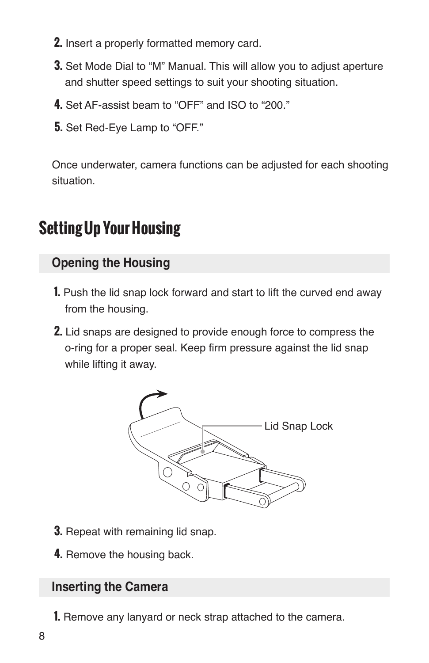- **2.** Insert a properly formatted memory card.
- **3.** Set Mode Dial to "M" Manual. This will allow you to adjust aperture and shutter speed settings to suit your shooting situation.
- **4.** Set AF-assist beam to "OFF" and ISO to "200."
- **5.** Set Red-Eye Lamp to "OFF."

Once underwater, camera functions can be adjusted for each shooting situation.

# **Setting Up Your Housing**

### **Opening the Housing**

- **1.** Push the lid snap lock forward and start to lift the curved end away from the housing.
- **2.** Lid snaps are designed to provide enough force to compress the o-ring for a proper seal. Keep firm pressure against the lid snap while lifting it away.



- **3.** Repeat with remaining lid snap.
- **4.** Remove the housing back.

### **Inserting the Camera**

**1.** Remove any lanyard or neck strap attached to the camera.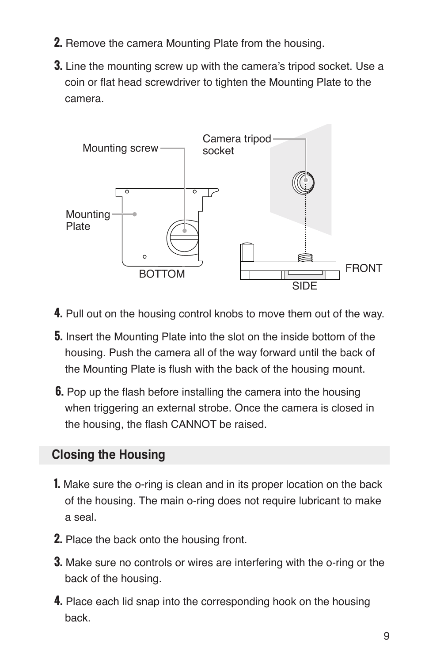- **2.** Remove the camera Mounting Plate from the housing.
- **3.** Line the mounting screw up with the camera's tripod socket. Use a coin or flat head screwdriver to tighten the Mounting Plate to the camera.



- **4.** Pull out on the housing control knobs to move them out of the way.
- **5.** Insert the Mounting Plate into the slot on the inside bottom of the housing. Push the camera all of the way forward until the back of the Mounting Plate is flush with the back of the housing mount.
- **6.** Pop up the flash before installing the camera into the housing when triggering an external strobe. Once the camera is closed in the housing, the flash CANNOT be raised.

### **Closing the Housing**

- **1.** Make sure the o-ring is clean and in its proper location on the back of the housing. The main o-ring does not require lubricant to make a seal.
- **2.** Place the back onto the housing front.
- **3.** Make sure no controls or wires are interfering with the o-ring or the back of the housing.
- **4.** Place each lid snap into the corresponding hook on the housing back.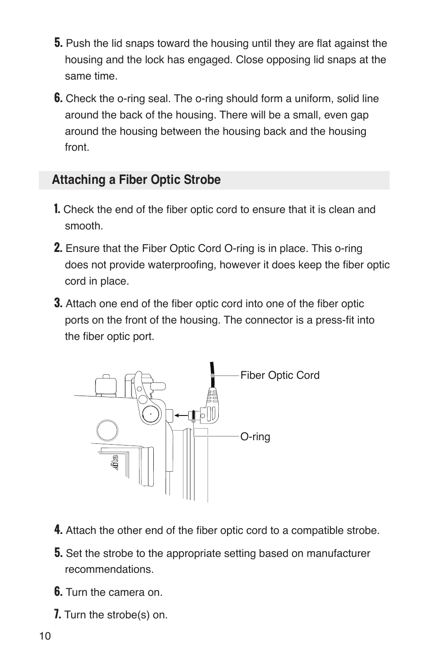- **5.** Push the lid snaps toward the housing until they are flat against the housing and the lock has engaged. Close opposing lid snaps at the same time.
- **6.** Check the o-ring seal. The o-ring should form a uniform, solid line around the back of the housing. There will be a small, even gap around the housing between the housing back and the housing front.

### **Attaching a Fiber Optic Strobe**

- **1.** Check the end of the fiber optic cord to ensure that it is clean and smooth.
- **2.** Ensure that the Fiber Optic Cord O-ring is in place. This o-ring does not provide waterproofing, however it does keep the fiber optic cord in place.
- **3.** Attach one end of the fiber optic cord into one of the fiber optic ports on the front of the housing. The connector is a press-fit into the fiber optic port.



- **4.** Attach the other end of the fiber optic cord to a compatible strobe.
- **5.** Set the strobe to the appropriate setting based on manufacturer recommendations.
- **6.** Turn the camera on.
- **7.** Turn the strobe(s) on.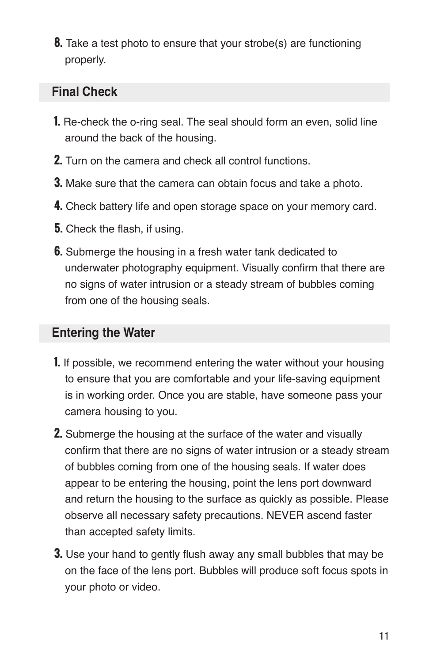**8.** Take a test photo to ensure that your strobe(s) are functioning properly.

### **Final Check**

- **1.** Re-check the o-ring seal. The seal should form an even, solid line around the back of the housing.
- **2.** Turn on the camera and check all control functions.
- **3.** Make sure that the camera can obtain focus and take a photo.
- **4.** Check battery life and open storage space on your memory card.
- **5.** Check the flash, if using.
- **6.** Submerge the housing in a fresh water tank dedicated to underwater photography equipment. Visually confirm that there are no signs of water intrusion or a steady stream of bubbles coming from one of the housing seals.

### **Entering the Water**

- **1.** If possible, we recommend entering the water without your housing to ensure that you are comfortable and your life-saving equipment is in working order. Once you are stable, have someone pass your camera housing to you.
- **2.** Submerge the housing at the surface of the water and visually confirm that there are no signs of water intrusion or a steady stream of bubbles coming from one of the housing seals. If water does appear to be entering the housing, point the lens port downward and return the housing to the surface as quickly as possible. Please observe all necessary safety precautions. NEVER ascend faster than accepted safety limits.
- **3.** Use your hand to gently flush away any small bubbles that may be on the face of the lens port. Bubbles will produce soft focus spots in your photo or video.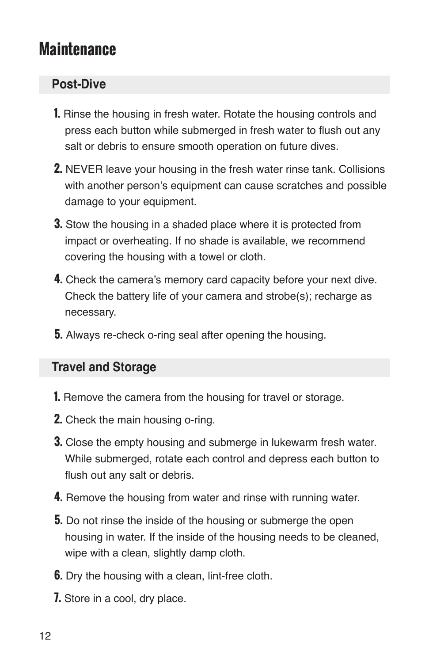## **Maintenance**

### **Post-Dive**

- **1.** Rinse the housing in fresh water. Rotate the housing controls and press each button while submerged in fresh water to flush out any salt or debris to ensure smooth operation on future dives.
- **2.** NEVER leave your housing in the fresh water rinse tank. Collisions with another person's equipment can cause scratches and possible damage to your equipment.
- **3.** Stow the housing in a shaded place where it is protected from impact or overheating. If no shade is available, we recommend covering the housing with a towel or cloth.
- **4.** Check the camera's memory card capacity before your next dive. Check the battery life of your camera and strobe(s); recharge as necessary.
- **5.** Always re-check o-ring seal after opening the housing.

#### **Travel and Storage**

- **1.** Remove the camera from the housing for travel or storage.
- **2.** Check the main housing o-ring.
- **3.** Close the empty housing and submerge in lukewarm fresh water. While submerged, rotate each control and depress each button to flush out any salt or debris.
- **4.** Remove the housing from water and rinse with running water.
- **5.** Do not rinse the inside of the housing or submerge the open housing in water. If the inside of the housing needs to be cleaned, wipe with a clean, slightly damp cloth.
- **6.** Dry the housing with a clean, lint-free cloth.
- **7.** Store in a cool, dry place.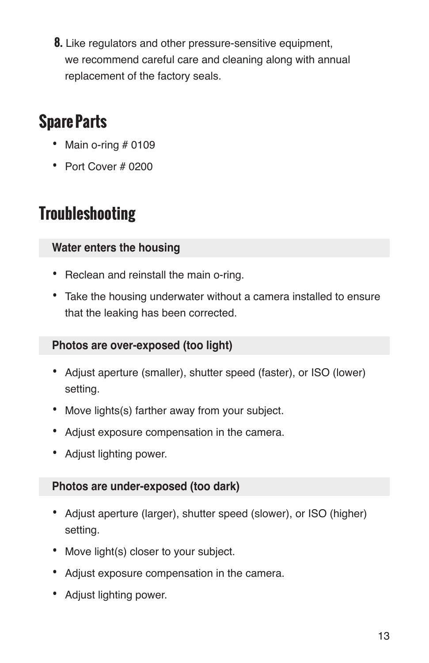**8.** Like regulators and other pressure-sensitive equipment, we recommend careful care and cleaning along with annual replacement of the factory seals.

# **Spare Parts**

- Main o-ring  $#0109$
- Port Cover # 0200

# **Troubleshooting**

### **Water enters the housing**

- Reclean and reinstall the main o-ring.
- Take the housing underwater without a camera installed to ensure that the leaking has been corrected.

#### **Photos are over-exposed (too light)**

- Adjust aperture (smaller), shutter speed (faster), or ISO (lower) setting.
- Move lights(s) farther away from your subject.
- Adjust exposure compensation in the camera.
- Adjust lighting power.

### **Photos are under-exposed (too dark)**

- Adjust aperture (larger), shutter speed (slower), or ISO (higher) setting.
- Move light(s) closer to your subject.
- Adjust exposure compensation in the camera.
- Adjust lighting power.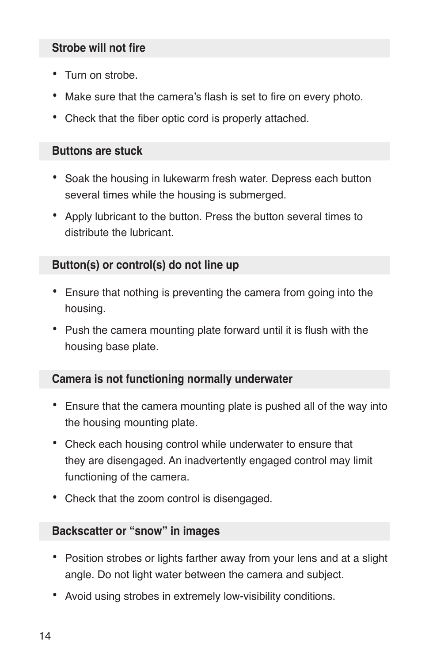#### **Strobe will not fire**

- Turn on strobe.
- Make sure that the camera's flash is set to fire on every photo.
- Check that the fiber optic cord is properly attached.

#### **Buttons are stuck**

- Soak the housing in lukewarm fresh water. Depress each button several times while the housing is submerged.
- Apply lubricant to the button. Press the button several times to distribute the lubricant.

#### **Button(s) or control(s) do not line up**

- Ensure that nothing is preventing the camera from going into the housing.
- Push the camera mounting plate forward until it is flush with the housing base plate.

#### **Camera is not functioning normally underwater**

- Ensure that the camera mounting plate is pushed all of the way into the housing mounting plate.
- Check each housing control while underwater to ensure that they are disengaged. An inadvertently engaged control may limit functioning of the camera.
- Check that the zoom control is disengaged.

#### **Backscatter or "snow" in images**

- Position strobes or lights farther away from your lens and at a slight angle. Do not light water between the camera and subject.
- Avoid using strobes in extremely low-visibility conditions.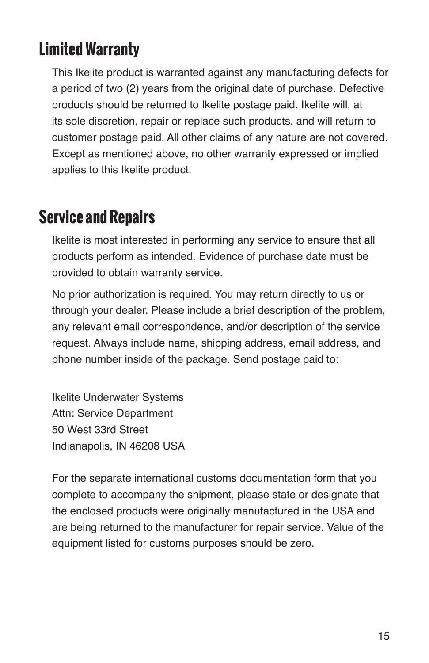# **Limited Warranty**

This Ikelite product is warranted against any manufacturing defects for a period of two (2) years from the original date of purchase. Defective products should be returned to Ikelite postage paid. Ikelite will, at its sole discretion, repair or replace such products, and will return to customer postage paid. All other claims of any nature are not covered. Except as mentioned above, no other warranty expressed or implied applies to this Ikelite product.

## **Service and Repairs**

Ikelite is most interested in performing any service to ensure that all products perform as intended. Evidence of purchase date must be provided to obtain warranty service.

No prior authorization is required. You may return directly to us or through your dealer. Please include a brief description of the problem, any relevant email correspondence, and/or description of the service request. Always include name, shipping address, email address, and phone number inside of the package. Send postage paid to:

Ikelite Underwater Systems Attn: Service Department 50 West 33rd Street Indianapolis, IN 46208 USA

For the separate international customs documentation form that you complete to accompany the shipment, please state or designate that the enclosed products were originally manufactured in the USA and are being returned to the manufacturer for repair service. Value of the equipment listed for customs purposes should be zero.